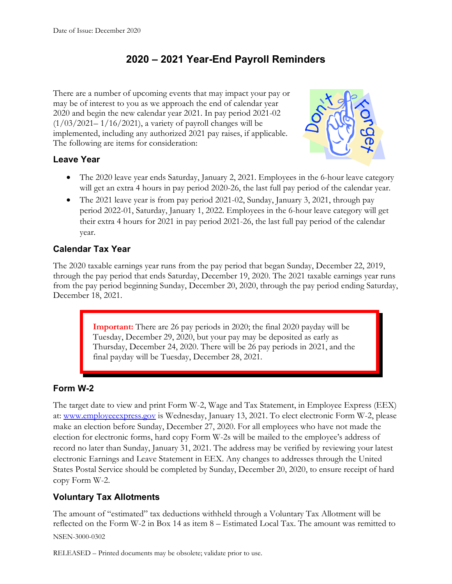# **2020 – 2021 Year-End Payroll Reminders**

There are a number of upcoming events that may impact your pay or may be of interest to you as we approach the end of calendar year 2020 and begin the new calendar year 2021. In pay period 2021-02  $(1/03/2021-1/16/2021)$ , a variety of payroll changes will be implemented, including any authorized 2021 pay raises, if applicable. The following are items for consideration:



### **Leave Year**

- The 2020 leave year ends Saturday, January 2, 2021. Employees in the 6-hour leave category will get an extra 4 hours in pay period 2020-26, the last full pay period of the calendar year.
- The 2021 leave year is from pay period 2021-02, Sunday, January 3, 2021, through pay period 2022-01, Saturday, January 1, 2022. Employees in the 6-hour leave category will get their extra 4 hours for 2021 in pay period 2021-26, the last full pay period of the calendar year.

### **Calendar Tax Year**

The 2020 taxable earnings year runs from the pay period that began Sunday, December 22, 2019, through the pay period that ends Saturday, December 19, 2020. The 2021 taxable earnings year runs from the pay period beginning Sunday, December 20, 2020, through the pay period ending Saturday, December 18, 2021.

> **Important:** There are 26 pay periods in 2020; the final 2020 payday will be Tuesday, December 29, 2020, but your pay may be deposited as early as Thursday, December 24, 2020. There will be 26 pay periods in 2021, and the final payday will be Tuesday, December 28, 2021.

### **Form W-2**

The target date to view and print Form W-2, Wage and Tax Statement, in Employee Express (EEX) at: [www.employeeexpress.gov](http://www.employeeexpress.gov/) is Wednesday, January 13, 2021. To elect electronic Form W-2, please make an election before Sunday, December 27, 2020. For all employees who have not made the election for electronic forms, hard copy Form W-2s will be mailed to the employee's address of record no later than Sunday, January 31, 2021. The address may be verified by reviewing your latest electronic Earnings and Leave Statement in EEX. Any changes to addresses through the United States Postal Service should be completed by Sunday, December 20, 2020, to ensure receipt of hard copy Form W-2.

### **Voluntary Tax Allotments**

NSEN-3000-0302 The amount of "estimated" tax deductions withheld through a Voluntary Tax Allotment will be reflected on the Form W-2 in Box 14 as item 8 – Estimated Local Tax. The amount was remitted to

RELEASED – Printed documents may be obsolete; validate prior to use.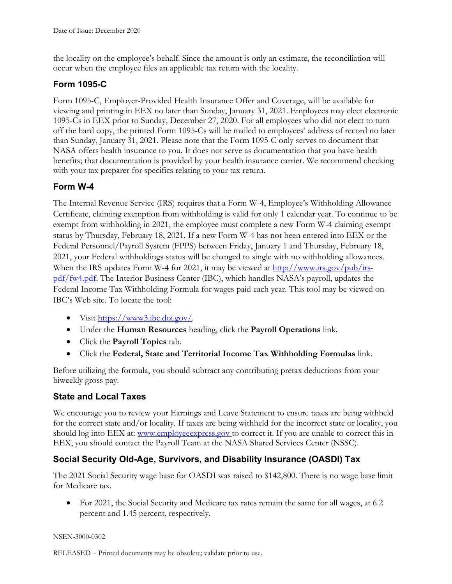the locality on the employee's behalf. Since the amount is only an estimate, the reconciliation will occur when the employee files an applicable tax return with the locality.

### **Form 1095-C**

Form 1095-C, Employer-Provided Health Insurance Offer and Coverage, will be available for viewing and printing in EEX no later than Sunday, January 31, 2021. Employees may elect electronic 1095-Cs in EEX prior to Sunday, December 27, 2020. For all employees who did not elect to turn off the hard copy, the printed Form 1095-Cs will be mailed to employees' address of record no later than Sunday, January 31, 2021. Please note that the Form 1095-C only serves to document that NASA offers health insurance to you. It does not serve as documentation that you have health benefits; that documentation is provided by your health insurance carrier. We recommend checking with your tax preparer for specifics relating to your tax return.

### **Form W-4**

The Internal Revenue Service (IRS) requires that a Form W-4, Employee's Withholding Allowance Certificate, claiming exemption from withholding is valid for only 1 calendar year. To continue to be exempt from withholding in 2021, the employee must complete a new Form W-4 claiming exempt status by Thursday, February 18, 2021. If a new Form W-4 has not been entered into EEX or the Federal Personnel/Payroll System (FPPS) between Friday, January 1 and Thursday, February 18, 2021, your Federal withholdings status will be changed to single with no withholding allowances. When the IRS updates Form W-4 for 2021, it may be viewed at [http://www.irs.gov/pub/irs](http://www.irs.gov/pub/irs-pdf/fw4.pdf)[pdf/fw4.pdf.](http://www.irs.gov/pub/irs-pdf/fw4.pdf) The Interior Business Center (IBC), which handles NASA's payroll, updates the Federal Income Tax Withholding Formula for wages paid each year. This tool may be viewed on IBC's Web site. To locate the tool:

- Visit  $\frac{\text{https://www3.ibc.doi.gov/}}{\text{https://www3.ibc.doi.gov/}}$ .
- Under the **Human Resources** heading, click the **Payroll Operations** link.
- Click the **Payroll Topics** tab.
- Click the **Federal, State and Territorial Income Tax Withholding Formulas** link.

Before utilizing the formula, you should subtract any contributing pretax deductions from your biweekly gross pay.

#### **State and Local Taxes**

We encourage you to review your Earnings and Leave Statement to ensure taxes are being withheld for the correct state and/or locality. If taxes are being withheld for the incorrect state or locality, you should log into EEX at: [www.employeeexpress.gov](http://www.employeeexpress.gov/) to correct it. If you are unable to correct this in EEX, you should contact the Payroll Team at the NASA Shared Services Center (NSSC).

### **Social Security Old-Age, Survivors, and Disability Insurance (OASDI) Tax**

The 2021 Social Security wage base for OASDI was raised to \$142,800. There is no wage base limit for Medicare tax.

• For 2021, the Social Security and Medicare tax rates remain the same for all wages, at 6.2 percent and 1.45 percent, respectively.

NSEN-3000-0302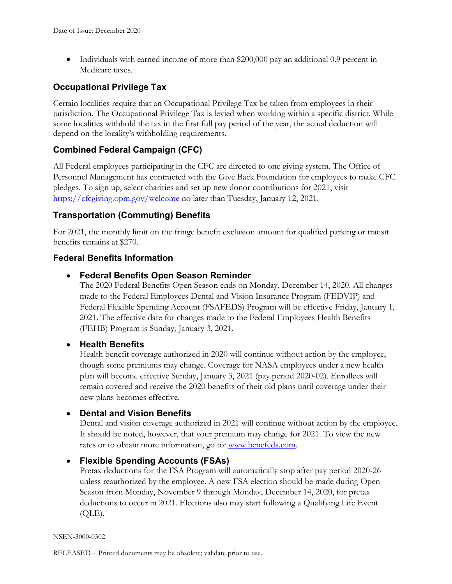• Individuals with earned income of more than \$200,000 pay an additional 0.9 percent in Medicare taxes.

### **Occupational Privilege Tax**

Certain localities require that an Occupational Privilege Tax be taken from employees in their jurisdiction. The Occupational Privilege Tax is levied when working within a specific district. While some localities withhold the tax in the first full pay period of the year, the actual deduction will depend on the locality's withholding requirements.

### **Combined Federal Campaign (CFC)**

All Federal employees participating in the CFC are directed to one giving system. The Office of Personnel Management has contracted with the Give Back Foundation for employees to make CFC pledges. To sign up, select charities and set up new donor contributions for 2021, visit <https://cfcgiving.opm.gov/welcome> no later than Tuesday, January 12, 2021.

### **Transportation (Commuting) Benefits**

For 2021, the monthly limit on the fringe benefit exclusion amount for qualified parking or transit benefits remains at \$270.

### **Federal Benefits Information**

#### • **Federal Benefits Open Season Reminder**

The 2020 Federal Benefits Open Season ends on Monday, December 14, 2020. All changes made to the Federal Employees Dental and Vision Insurance Program (FEDVIP) and Federal Flexible Spending Account (FSAFEDS) Program will be effective Friday, January 1, 2021. The effective date for changes made to the Federal Employees Health Benefits (FEHB) Program is Sunday, January 3, 2021.

#### • **Health Benefits**

Health benefit coverage authorized in 2020 will continue without action by the employee, though some premiums may change. Coverage for NASA employees under a new health plan will become effective Sunday, January 3, 2021 (pay period 2020-02). Enrollees will remain covered and receive the 2020 benefits of their old plans until coverage under their new plans becomes effective.

#### • **Dental and Vision Benefits**

Dental and vision coverage authorized in 2021 will continue without action by the employee. It should be noted, however, that your premium may change for 2021. To view the new rates or to obtain more information, go to: [www.benefeds.com.](http://www.benefeds.com/)

#### • **Flexible Spending Accounts (FSAs)**

Pretax deductions for the FSA Program will automatically stop after pay period 2020-26 unless reauthorized by the employee. A new FSA election should be made during Open Season from Monday, November 9 through Monday, December 14, 2020, for pretax deductions to occur in 2021. Elections also may start following a Qualifying Life Event  $(QLE)$ .

#### NSEN-3000-0302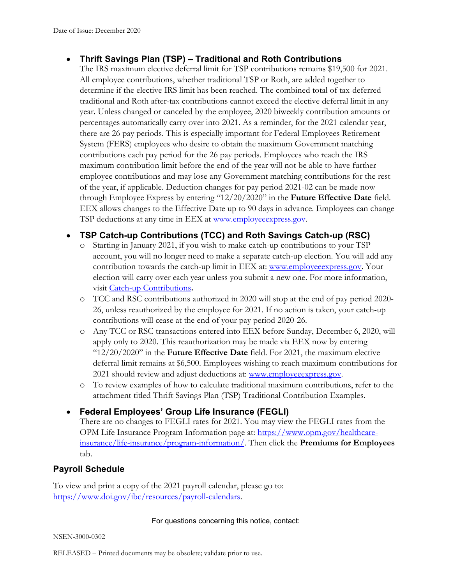### • **Thrift Savings Plan (TSP) – Traditional and Roth Contributions**

The IRS maximum elective deferral limit for TSP contributions remains \$19,500 for 2021. All employee contributions, whether traditional TSP or Roth, are added together to determine if the elective IRS limit has been reached. The combined total of tax-deferred traditional and Roth after-tax contributions cannot exceed the elective deferral limit in any year. Unless changed or canceled by the employee, 2020 biweekly contribution amounts or percentages automatically carry over into 2021. As a reminder, for the 2021 calendar year, there are 26 pay periods. This is especially important for Federal Employees Retirement System (FERS) employees who desire to obtain the maximum Government matching contributions each pay period for the 26 pay periods. Employees who reach the IRS maximum contribution limit before the end of the year will not be able to have further employee contributions and may lose any Government matching contributions for the rest of the year, if applicable. Deduction changes for pay period 2021-02 can be made now through Employee Express by entering "12/20/2020" in the **Future Effective Date** field. EEX allows changes to the Effective Date up to 90 days in advance. Employees can change TSP deductions at any time in EEX at [www.employeeexpress.gov.](https://www.employeeexpress.gov/)

### • **TSP Catch-up Contributions (TCC) and Roth Savings Catch-up (RSC)**

- o Starting in January 2021, if you wish to make catch-up contributions to your TSP account, you will no longer need to make a separate catch-up election. You will add any contribution towards the catch-up limit in EEX at: [www.employeeexpress.gov.](http://www.employeeexpress.gov/) Your election will carry over each year unless you submit a new one. For more information, visit [Catch-up Contributions](https://www.tsp.gov/making-contributions/catch-up-contributions/)**.**
- o TCC and RSC contributions authorized in 2020 will stop at the end of pay period 2020- 26, unless reauthorized by the employee for 2021. If no action is taken, your catch-up contributions will cease at the end of your pay period 2020-26.
- o Any TCC or RSC transactions entered into EEX before Sunday, December 6, 2020, will apply only to 2020. This reauthorization may be made via EEX now by entering "12/20/2020" in the **Future Effective Date** field. For 2021, the maximum elective deferral limit remains at \$6,500. Employees wishing to reach maximum contributions for 2021 should review and adjust deductions at: [www.employeeexpress.gov.](http://www.employeeexpress.gov/)
- o To review examples of how to calculate traditional maximum contributions, refer to the attachment titled Thrift Savings Plan (TSP) Traditional Contribution Examples.

### • **Federal Employees' Group Life Insurance (FEGLI)**

There are no changes to FEGLI rates for 2021. You may view the FEGLI rates from the OPM Life Insurance Program Information page at: [https://www.opm.gov/healthcare](https://www.opm.gov/healthcare-insurance/life-insurance/program-information/)[insurance/life-insurance/program-information/.](https://www.opm.gov/healthcare-insurance/life-insurance/program-information/) Then click the **Premiums for Employees** tab.

### **Payroll Schedule**

To view and print a copy of the 2021 payroll calendar, please go to: [https://www.doi.gov/ibc/resources/payroll-calendars.](https://www.doi.gov/ibc/resources/payroll-calendars)

#### For questions concerning this notice, contact:

NSEN-3000-0302

RELEASED – Printed documents may be obsolete; validate prior to use.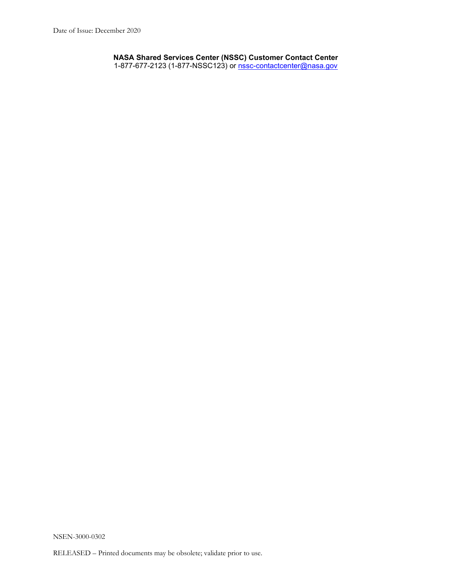**NASA Shared Services Center (NSSC) Customer Contact Center** 1-877-677-2123 (1-877-NSSC123) or <u>nssc-contactcenter@nasa.gov</u>

NSEN-3000-0302

RELEASED – Printed documents may be obsolete; validate prior to use.